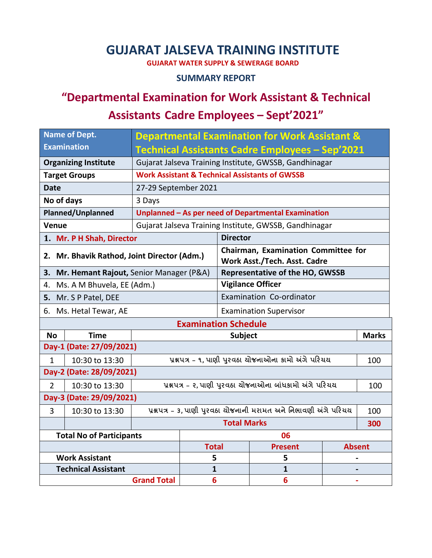### **GUJARAT JALSEVA TRAINING INSTITUTE**

**GUJARAT WATER SUPPLY & SEWERAGE BOARD**

#### **SUMMARY REPORT**

# **"Departmental Examination for Work Assistant & Technical**

## **Assistants Cadre Employees – Sept'2021"**

|                                               | <b>Name of Dept.</b>            | <b>Departmental Examination for Work Assistant &amp;</b>         |                                                 |                                                                            |                   |               |  |  |
|-----------------------------------------------|---------------------------------|------------------------------------------------------------------|-------------------------------------------------|----------------------------------------------------------------------------|-------------------|---------------|--|--|
|                                               | <b>Examination</b>              |                                                                  | Technical Assistants Cadre Employees - Sep'2021 |                                                                            |                   |               |  |  |
| <b>Organizing Institute</b>                   |                                 | Gujarat Jalseva Training Institute, GWSSB, Gandhinagar           |                                                 |                                                                            |                   |               |  |  |
| <b>Target Groups</b>                          |                                 | <b>Work Assistant &amp; Technical Assistants of GWSSB</b>        |                                                 |                                                                            |                   |               |  |  |
| <b>Date</b>                                   |                                 | 27-29 September 2021                                             |                                                 |                                                                            |                   |               |  |  |
| No of days                                    |                                 | 3 Days                                                           |                                                 |                                                                            |                   |               |  |  |
| <b>Planned/Unplanned</b>                      |                                 | Unplanned - As per need of Departmental Examination              |                                                 |                                                                            |                   |               |  |  |
| <b>Venue</b>                                  |                                 | Gujarat Jalseva Training Institute, GWSSB, Gandhinagar           |                                                 |                                                                            |                   |               |  |  |
| 1. Mr. P H Shah, Director                     |                                 |                                                                  |                                                 | <b>Director</b>                                                            |                   |               |  |  |
| 2. Mr. Bhavik Rathod, Joint Director (Adm.)   |                                 |                                                                  |                                                 | <b>Chairman, Examination Committee for</b><br>Work Asst./Tech. Asst. Cadre |                   |               |  |  |
| Mr. Hemant Rajout, Senior Manager (P&A)<br>3. |                                 |                                                                  |                                                 | <b>Representative of the HO, GWSSB</b>                                     |                   |               |  |  |
| Ms. A M Bhuvela, EE (Adm.)<br>4.              |                                 |                                                                  |                                                 | <b>Vigilance Officer</b>                                                   |                   |               |  |  |
| 5. Mr. S P Patel, DEE                         |                                 |                                                                  |                                                 | Examination Co-ordinator                                                   |                   |               |  |  |
| 6. Ms. Hetal Tewar, AE                        |                                 |                                                                  |                                                 | <b>Examination Supervisor</b>                                              |                   |               |  |  |
| <b>Examination Schedule</b>                   |                                 |                                                                  |                                                 |                                                                            |                   |               |  |  |
| <b>No</b>                                     | <b>Time</b>                     |                                                                  |                                                 | <b>Subject</b><br><b>Marks</b>                                             |                   |               |  |  |
| Day-1 (Date: 27/09/2021)                      |                                 |                                                                  |                                                 |                                                                            |                   |               |  |  |
| $\mathbf{1}$                                  | 10:30 to 13:30                  | પ્રશ્નપત્ર – ૧, પાણી પુરવઠા ચોજનાઓના કામો અંગે પરિચય             |                                                 |                                                                            |                   | 100           |  |  |
| Day-2 (Date: 28/09/2021)                      |                                 |                                                                  |                                                 |                                                                            |                   |               |  |  |
| $\overline{2}$                                | 10:30 to 13:30                  | પ્રશ્નપત્ર - ૨, પાણી પુરવઠા ચોજનાઓના બાંધકામો અંગે પરિચય<br>100  |                                                 |                                                                            |                   |               |  |  |
| Day-3 (Date: 29/09/2021)                      |                                 |                                                                  |                                                 |                                                                            |                   |               |  |  |
| 3                                             | 10:30 to 13:30                  | પ્રશ્નપત્ર - 3, પાણી પુરવઠા ચોજનાની મરામત અને નિભાવણી અંગે પરિચય |                                                 |                                                                            |                   | 100           |  |  |
|                                               |                                 | <b>Total Marks</b>                                               |                                                 |                                                                            |                   | 300           |  |  |
|                                               |                                 |                                                                  |                                                 | 06                                                                         |                   |               |  |  |
|                                               | <b>Total No of Participants</b> |                                                                  |                                                 |                                                                            |                   |               |  |  |
|                                               |                                 |                                                                  | <b>Total</b>                                    |                                                                            | <b>Present</b>    | <b>Absent</b> |  |  |
|                                               | <b>Work Assistant</b>           |                                                                  | 5                                               |                                                                            | 5                 |               |  |  |
|                                               | <b>Technical Assistant</b>      | <b>Grand Total</b>                                               | 1<br>$6\phantom{1}6$                            |                                                                            | $\mathbf{1}$<br>6 |               |  |  |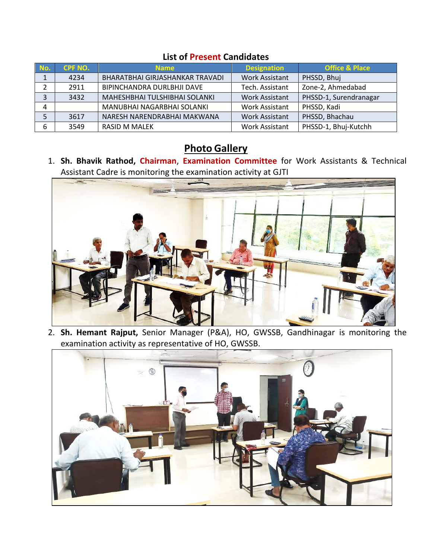#### **List of Present Candidates**

| No. | CPF NO. | <b>Name</b>                     | <b>Designation</b>    | <b>Office &amp; Place</b> |
|-----|---------|---------------------------------|-----------------------|---------------------------|
|     | 4234    | BHARATBHAI GIRJASHANKAR TRAVADI | <b>Work Assistant</b> | PHSSD, Bhuj               |
|     | 2911    | BIPINCHANDRA DURLBHJI DAVE      | Tech. Assistant       | Zone-2, Ahmedabad         |
|     | 3432    | MAHESHBHAI TULSHIBHAI SOLANKI   | <b>Work Assistant</b> | PHSSD-1, Surendranagar    |
| 4   |         | MANUBHAI NAGARBHAI SOLANKI      | <b>Work Assistant</b> | PHSSD, Kadi               |
|     | 3617    | NARESH NARENDRABHAI MAKWANA     | <b>Work Assistant</b> | PHSSD, Bhachau            |
|     | 3549    | <b>RASID M MALEK</b>            | <b>Work Assistant</b> | PHSSD-1, Bhuj-Kutchh      |

### **Photo Gallery**

1. **Sh. Bhavik Rathod, Chairman**, **Examination Committee** for Work Assistants & Technical Assistant Cadre is monitoring the examination activity at GJTI



2. **Sh. Hemant Rajput,** Senior Manager (P&A), HO, GWSSB, Gandhinagar is monitoring the examination activity as representative of HO, GWSSB.